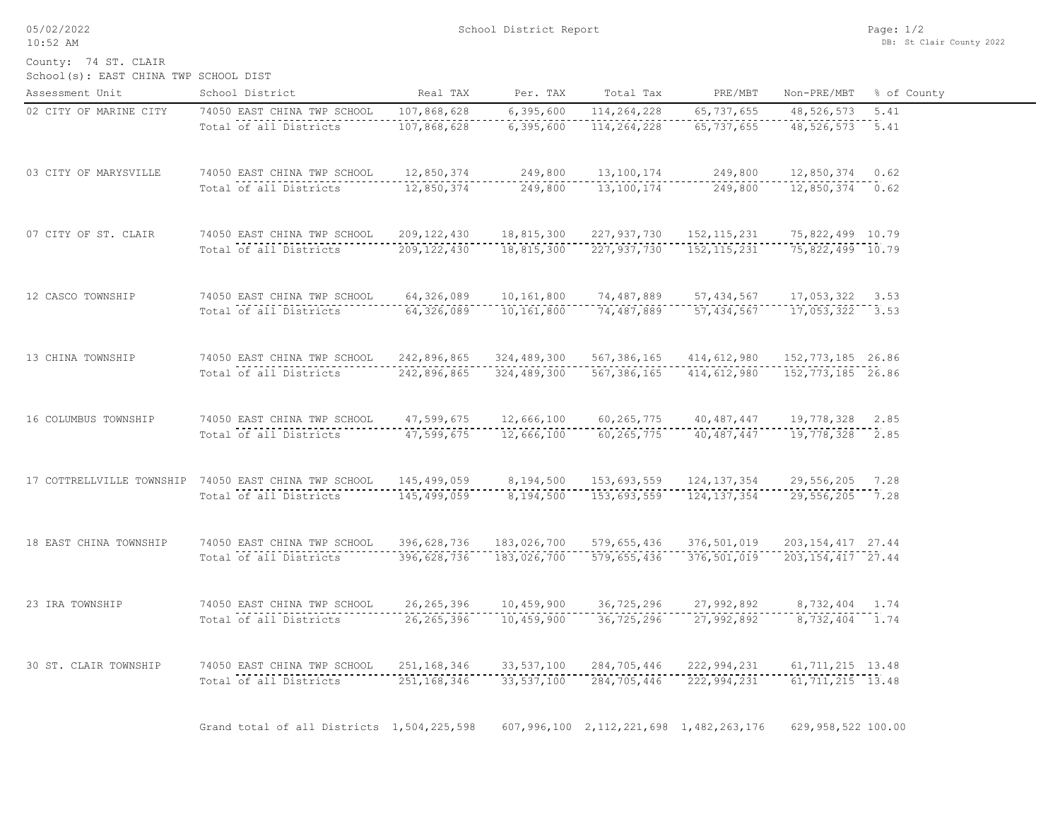05/02/2022 10:52 AM

School(s): EAST CHINA TWP SCHOOL DIST County: 74 ST. CLAIR

| Assessment Unit        | School District                                       | Real TAX                   | Per. TAX                 | Total Tax                                       | PRE/MBT                      | Non-PRE/MBT                   | % of County |
|------------------------|-------------------------------------------------------|----------------------------|--------------------------|-------------------------------------------------|------------------------------|-------------------------------|-------------|
| 02 CITY OF MARINE CITY | 74050 EAST CHINA TWP SCHOOL<br>Total of all Districts | 107,868,628<br>107,868,628 | 6,395,600<br>6, 395, 600 | 114,264,228<br>114,264,228                      | 65, 737, 655<br>65, 737, 655 | 48,526,573<br>48,526,573 5.41 | 5.41        |
|                        |                                                       |                            |                          |                                                 |                              |                               |             |
| 03 CITY OF MARYSVILLE  | 74050 EAST CHINA TWP SCHOOL                           | 12,850,374                 | 249,800                  | 13,100,174                                      | 249,800                      | 12,850,374 0.62               |             |
|                        | Total of all Districts                                | 12,850,374                 | 249,800                  | 13,100,174                                      | 249,800                      | $12,850,374$ 0.62             |             |
| 07 CITY OF ST. CLAIR   | 74050 EAST CHINA TWP SCHOOL                           | 209, 122, 430              | 18,815,300               | 227,937,730                                     | 152, 115, 231                | 75,822,499 10.79              |             |
|                        | Total of all Districts                                | 209, 122, 430              | 18,815,300               | 227,937,730                                     | 152, 115, 231                | 75,822,499 10.79              |             |
| 12 CASCO TOWNSHIP      | 74050 EAST CHINA TWP SCHOOL                           | 64,326,089                 | 10,161,800               | 74,487,889                                      | 57, 434, 567                 | $17,053,322$ 3.53             |             |
|                        | Total of all Districts                                | 64,326,089                 | 10,161,800               | 74,487,889                                      | 57, 434, 567                 | $17,053,322$ 3.53             |             |
| 13 CHINA TOWNSHIP      | 74050 EAST CHINA TWP SCHOOL                           | 242,896,865                | 324,489,300              | 567,386,165                                     | 414,612,980                  | 152, 773, 185 26.86           |             |
|                        | Total of all Districts                                | 242,896,865                | 324,489,300              | 567,386,165                                     | 414,612,980                  | 152, 773, 185 26.86           |             |
| 16 COLUMBUS TOWNSHIP   | 74050 EAST CHINA TWP SCHOOL                           | 47,599,675                 | 12,666,100               | 60,265,775                                      | 40,487,447                   | 19,778,328 2.85               |             |
|                        | Total of all Districts                                | 47,599,675                 | 12,666,100               | 60, 265, 775                                    | 40,487,447                   | 19,778,328 2.85               |             |
|                        | 17 COTTRELLVILLE TOWNSHIP 74050 EAST CHINA TWP SCHOOL | 145,499,059                | 8,194,500                | 153,693,559                                     | 124, 137, 354                | 29,556,205 7.28               |             |
|                        | Total of all Districts                                | 145,499,059                | 8,194,500                | 153,693,559                                     | 124, 137, 354                | 29,556,205 7.28               |             |
| 18 EAST CHINA TOWNSHIP | 74050 EAST CHINA TWP SCHOOL                           | 396,628,736                | 183,026,700              | 579,655,436                                     | 376,501,019                  | 203, 154, 417 27.44           |             |
|                        | Total of all Districts                                | 396,628,736                | 183,026,700              | 579,655,436                                     | 376,501,019                  | 203, 154, 417 27.44           |             |
| 23 IRA TOWNSHIP        | 74050 EAST CHINA TWP SCHOOL                           | 26, 265, 396               | 10,459,900               | 36,725,296                                      | 27,992,892                   | 8,732,404 1.74                |             |
|                        | Total of all Districts                                | 26, 265, 396               | 10,459,900               | 36,725,296                                      | 27,992,892                   | 8,732,404 1.74                |             |
| 30 ST. CLAIR TOWNSHIP  | 74050 EAST CHINA TWP SCHOOL                           | 251,168,346                | 33,537,100               | 284,705,446                                     | 222,994,231                  | 61, 711, 215 13.48            |             |
|                        | Total of all Districts                                | 251, 168, 346              | 33, 537, 100             | 284,705,446                                     | 222,994,231                  | $61, 711, 215$ 13.48          |             |
|                        | Grand total of all Districts 1,504,225,598            |                            |                          | 607, 996, 100 2, 112, 221, 698 1, 482, 263, 176 |                              | 629,958,522 100.00            |             |